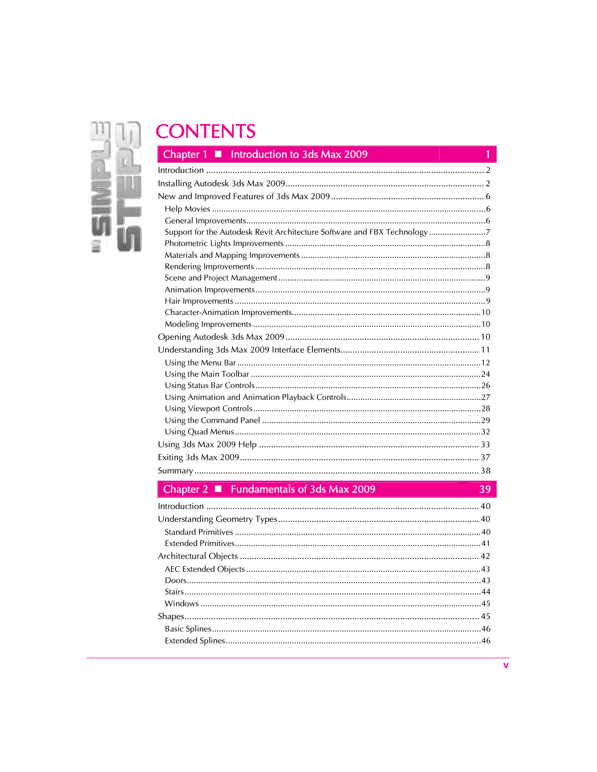# IJ  $\frac{1}{10}$

## **CONTENTS**

| Chapter 1 ■ Introduction to 3ds Max 2009                                 |
|--------------------------------------------------------------------------|
|                                                                          |
|                                                                          |
|                                                                          |
|                                                                          |
|                                                                          |
| Support for the Autodesk Revit Architecture Software and FBX Technology7 |
|                                                                          |
|                                                                          |
|                                                                          |
|                                                                          |
|                                                                          |
|                                                                          |
|                                                                          |
|                                                                          |
|                                                                          |
|                                                                          |
|                                                                          |
|                                                                          |
|                                                                          |
|                                                                          |
|                                                                          |
|                                                                          |
|                                                                          |
|                                                                          |
|                                                                          |
|                                                                          |

## Chapter 2 ■ Fundamentals of 3ds Max 2009

| Chapter $2 \blacksquare$ Fundamentals of 3ds Max 2009 |  |
|-------------------------------------------------------|--|
|                                                       |  |
|                                                       |  |
|                                                       |  |
|                                                       |  |
|                                                       |  |
|                                                       |  |
|                                                       |  |
|                                                       |  |
|                                                       |  |
|                                                       |  |
|                                                       |  |
|                                                       |  |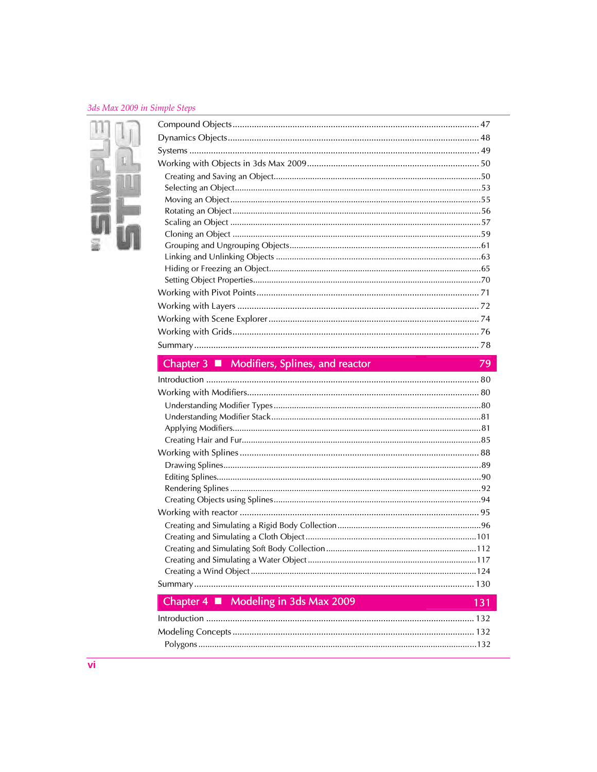#### 3ds Max 2009 in Simple Steps



79

## Chapter 3 ■ Modifiers, Splines, and reactor

| Chapter $4 \blacksquare$ Modeling in 3ds Max 2009   | 131 |
|-----------------------------------------------------|-----|
| the activity of the contract of the contract of the | 122 |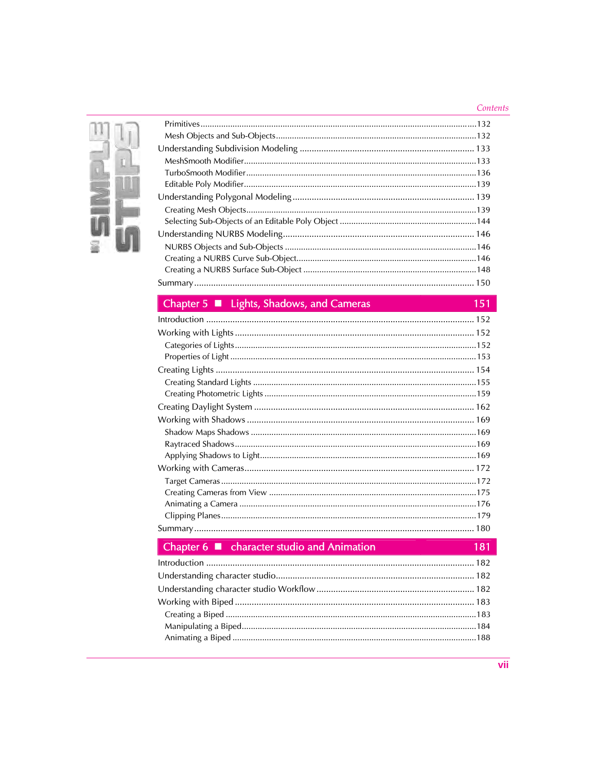#### Contents



## Chapter 5 ■ Lights, Shadows, and Cameras

| Chapter 5 ■ Lights, Shadows, and Cameras<br>151   |
|---------------------------------------------------|
|                                                   |
|                                                   |
|                                                   |
|                                                   |
|                                                   |
|                                                   |
|                                                   |
|                                                   |
|                                                   |
|                                                   |
|                                                   |
|                                                   |
|                                                   |
|                                                   |
|                                                   |
|                                                   |
|                                                   |
|                                                   |
| Chapter 6 ■ character studio and Animation<br>181 |
|                                                   |
|                                                   |
|                                                   |
|                                                   |
|                                                   |
|                                                   |
|                                                   |